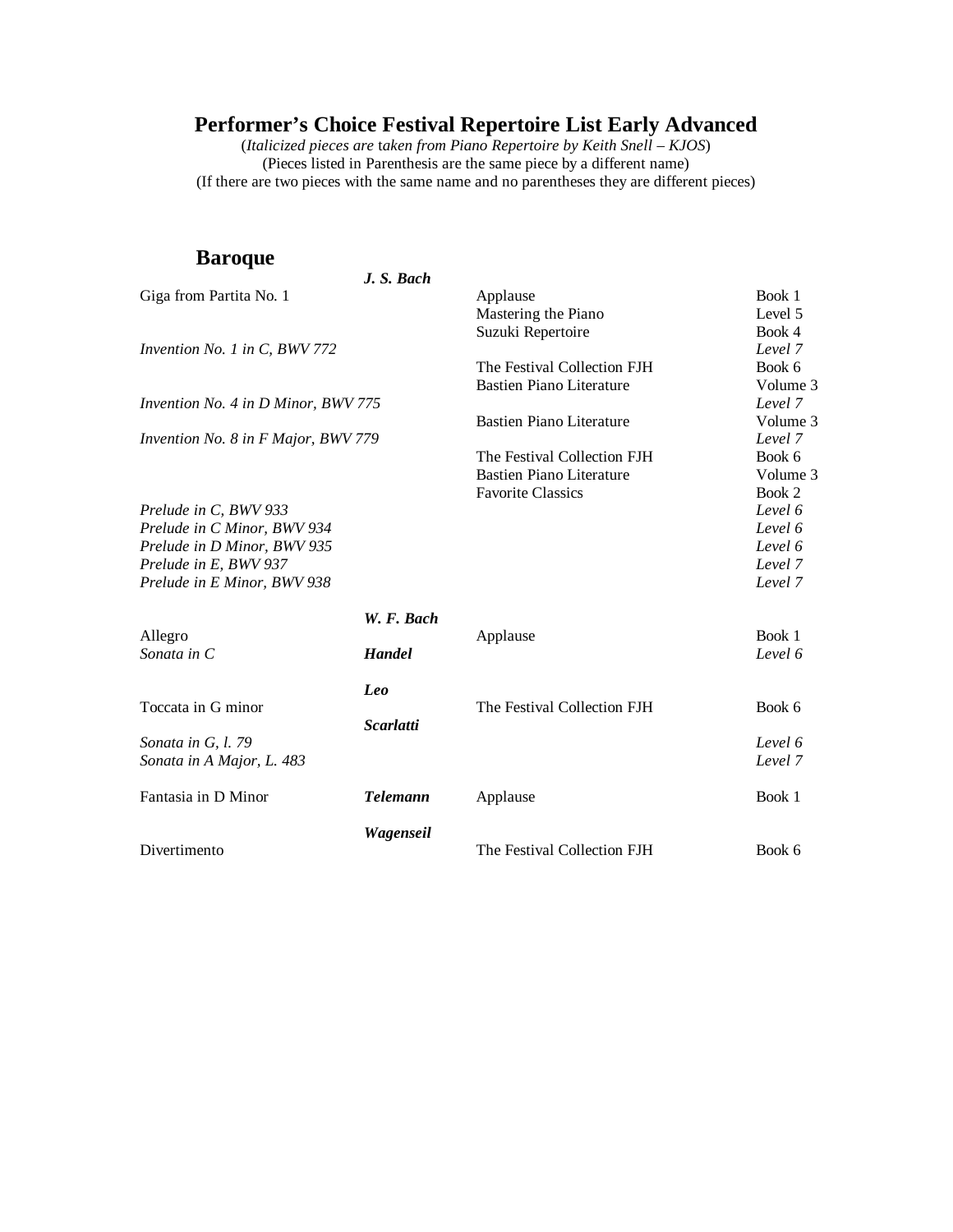(*Italicized pieces are* t*aken from Piano Repertoire by Keith Snell – KJOS*) (Pieces listed in Parenthesis are the same piece by a different name) (If there are two pieces with the same name and no parentheses they are different pieces)

### **Baroque**

|                                     | J. S. Bach       |                                 |          |
|-------------------------------------|------------------|---------------------------------|----------|
| Giga from Partita No. 1             |                  | Applause                        | Book 1   |
|                                     |                  | Mastering the Piano             | Level 5  |
|                                     |                  | Suzuki Repertoire               | Book 4   |
| Invention No. 1 in C, BWV 772       |                  |                                 | Level 7  |
|                                     |                  | The Festival Collection FJH     | Book 6   |
|                                     |                  | <b>Bastien Piano Literature</b> | Volume 3 |
| Invention No. 4 in D Minor, BWV 775 |                  |                                 | Level 7  |
|                                     |                  | <b>Bastien Piano Literature</b> | Volume 3 |
| Invention No. 8 in F Major, BWV 779 |                  |                                 | Level 7  |
|                                     |                  | The Festival Collection FJH     | Book 6   |
|                                     |                  | <b>Bastien Piano Literature</b> | Volume 3 |
|                                     |                  | <b>Favorite Classics</b>        | Book 2   |
| Prelude in C, BWV 933               |                  |                                 | Level 6  |
| Prelude in C Minor, BWV 934         |                  |                                 | Level 6  |
| Prelude in D Minor, BWV 935         |                  |                                 | Level 6  |
| Prelude in E, BWV 937               |                  |                                 | Level 7  |
| Prelude in E Minor, BWV 938         |                  |                                 | Level 7  |
|                                     | W. F. Bach       |                                 |          |
| Allegro                             |                  | Applause                        | Book 1   |
| Sonata in C                         | <b>Handel</b>    |                                 | Level 6  |
|                                     | Leo              |                                 |          |
| Toccata in G minor                  |                  | The Festival Collection FJH     | Book 6   |
| Sonata in G, l. 79                  | <b>Scarlatti</b> |                                 | Level 6  |
| Sonata in A Major, L. 483           |                  |                                 | Level 7  |
|                                     |                  |                                 |          |
| Fantasia in D Minor                 | <b>Telemann</b>  | Applause                        | Book 1   |
|                                     | Wagenseil        |                                 |          |
| Divertimento                        |                  | The Festival Collection FJH     | Book 6   |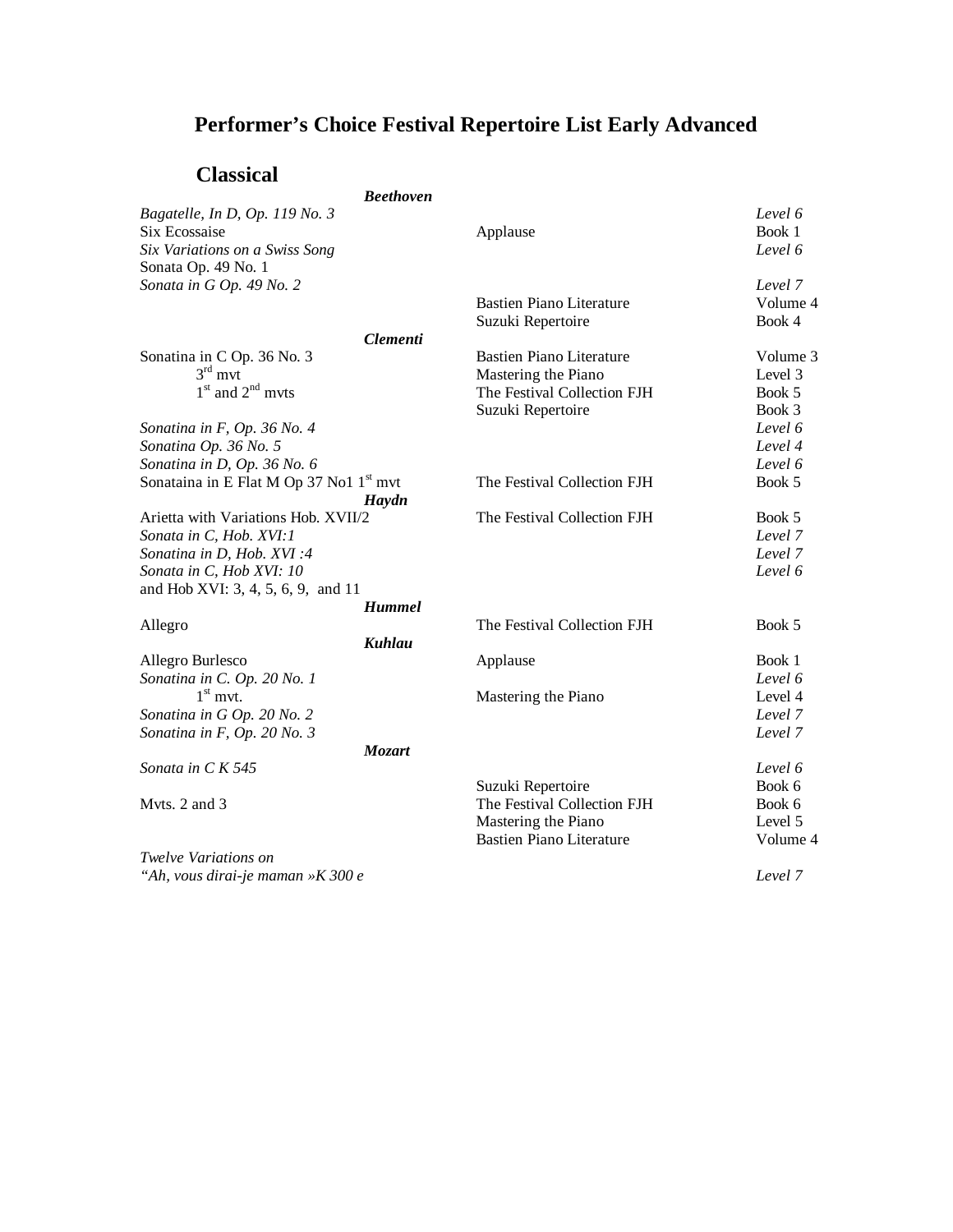## **Classical**

| Спаээнла                                            |                                      |          |
|-----------------------------------------------------|--------------------------------------|----------|
|                                                     | <b>Beethoven</b>                     |          |
| Bagatelle, In D, Op. 119 No. 3                      |                                      | Level 6  |
| Six Ecossaise                                       | Applause                             | Book 1   |
| Six Variations on a Swiss Song                      |                                      | Level 6  |
| Sonata Op. 49 No. 1                                 |                                      |          |
| Sonata in G Op. 49 No. 2                            |                                      | Level 7  |
|                                                     | <b>Bastien Piano Literature</b>      | Volume 4 |
|                                                     | Suzuki Repertoire                    | Book 4   |
|                                                     | <b>Clementi</b>                      |          |
| Sonatina in C Op. 36 No. 3                          | <b>Bastien Piano Literature</b>      | Volume 3 |
| $3rd$ mvt                                           | Mastering the Piano                  | Level 3  |
| $1st$ and $2nd$ myts                                | The Festival Collection FJH          | Book 5   |
|                                                     | Suzuki Repertoire                    | Book 3   |
| Sonatina in F, Op. 36 No. 4                         |                                      | Level 6  |
| Sonatina Op. 36 No. 5                               |                                      | Level 4  |
| Sonatina in D, Op. 36 No. 6                         |                                      | Level 6  |
| Sonataina in E Flat M Op 37 No1 1 <sup>st</sup> mvt | The Festival Collection FJH          | Book 5   |
|                                                     |                                      |          |
|                                                     | Haydn<br>The Festival Collection FJH |          |
| Arietta with Variations Hob. XVII/2                 |                                      | Book 5   |
| Sonata in C, Hob. XVI:1                             |                                      | Level 7  |
| Sonatina in D, Hob. XVI:4                           |                                      | Level 7  |
| Sonata in C, Hob XVI: 10                            |                                      | Level 6  |
| and Hob XVI: 3, 4, 5, 6, 9, and 11                  |                                      |          |
|                                                     | <b>Hummel</b>                        |          |
| Allegro                                             | The Festival Collection FJH          | Book 5   |
|                                                     | <b>Kuhlau</b>                        |          |
| Allegro Burlesco                                    | Applause                             | Book 1   |
| Sonatina in C. Op. 20 No. 1                         |                                      | Level 6  |
| $1st$ mvt.                                          | Mastering the Piano                  | Level 4  |
| Sonatina in G Op. 20 No. 2                          |                                      | Level 7  |
| Sonatina in F, Op. 20 No. 3                         |                                      | Level 7  |
|                                                     | <b>Mozart</b>                        |          |
| Sonata in C K 545                                   |                                      | Level 6  |
|                                                     | Suzuki Repertoire                    | Book 6   |
| Myts. 2 and 3                                       | The Festival Collection FJH          | Book 6   |
|                                                     | Mastering the Piano                  | Level 5  |
|                                                     | <b>Bastien Piano Literature</b>      | Volume 4 |
| Twelve Variations on                                |                                      |          |
| "Ah, vous dirai-je maman »K 300 e                   |                                      | Level 7  |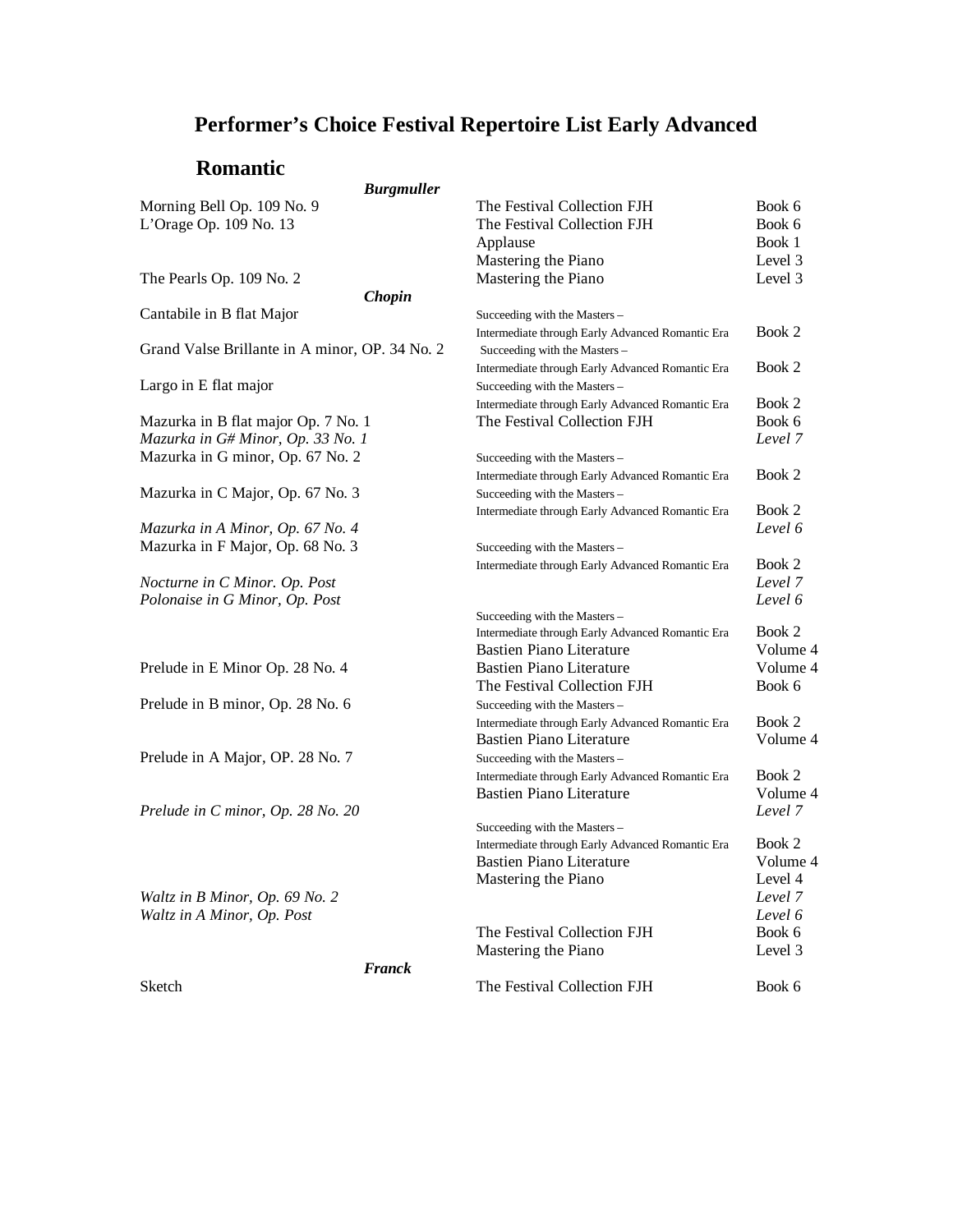### **Romantic**

#### *Burgmuller*

| Morning Bell Op. 109 No. 9                     | The Festival Collection FJH                      | Book 6   |
|------------------------------------------------|--------------------------------------------------|----------|
| L'Orage Op. 109 No. 13                         | The Festival Collection FJH                      | Book 6   |
|                                                | Applause                                         | Book 1   |
|                                                | Mastering the Piano                              | Level 3  |
| The Pearls Op. 109 No. 2                       | Mastering the Piano                              | Level 3  |
| Chopin                                         |                                                  |          |
| Cantabile in B flat Major                      | Succeeding with the Masters -                    |          |
|                                                | Intermediate through Early Advanced Romantic Era | Book 2   |
| Grand Valse Brillante in A minor, OP. 34 No. 2 | Succeeding with the Masters -                    |          |
|                                                | Intermediate through Early Advanced Romantic Era | Book 2   |
| Largo in E flat major                          | Succeeding with the Masters -                    |          |
|                                                | Intermediate through Early Advanced Romantic Era | Book 2   |
| Mazurka in B flat major Op. 7 No. 1            | The Festival Collection FJH                      | Book 6   |
| Mazurka in G# Minor, Op. 33 No. 1              |                                                  | Level 7  |
| Mazurka in G minor, Op. 67 No. 2               | Succeeding with the Masters -                    |          |
|                                                | Intermediate through Early Advanced Romantic Era | Book 2   |
| Mazurka in C Major, Op. 67 No. 3               | Succeeding with the Masters -                    |          |
|                                                | Intermediate through Early Advanced Romantic Era | Book 2   |
| Mazurka in A Minor, Op. 67 No. 4               |                                                  | Level 6  |
| Mazurka in F Major, Op. 68 No. 3               | Succeeding with the Masters -                    |          |
|                                                | Intermediate through Early Advanced Romantic Era | Book 2   |
| Nocturne in C Minor. Op. Post                  |                                                  | Level 7  |
| Polonaise in G Minor, Op. Post                 |                                                  | Level 6  |
|                                                | Succeeding with the Masters -                    |          |
|                                                | Intermediate through Early Advanced Romantic Era | Book 2   |
|                                                | <b>Bastien Piano Literature</b>                  | Volume 4 |
| Prelude in E Minor Op. 28 No. 4                | <b>Bastien Piano Literature</b>                  | Volume 4 |
|                                                | The Festival Collection FJH                      | Book 6   |
| Prelude in B minor, Op. 28 No. 6               | Succeeding with the Masters -                    |          |
|                                                | Intermediate through Early Advanced Romantic Era | Book 2   |
|                                                | <b>Bastien Piano Literature</b>                  | Volume 4 |
| Prelude in A Major, OP. 28 No. 7               | Succeeding with the Masters -                    |          |
|                                                | Intermediate through Early Advanced Romantic Era | Book 2   |
|                                                | <b>Bastien Piano Literature</b>                  | Volume 4 |
| Prelude in C minor, Op. 28 No. 20              |                                                  | Level 7  |
|                                                | Succeeding with the Masters -                    |          |
|                                                | Intermediate through Early Advanced Romantic Era | Book 2   |
|                                                | <b>Bastien Piano Literature</b>                  | Volume 4 |
|                                                | Mastering the Piano                              | Level 4  |
| Waltz in B Minor, Op. 69 No. 2                 |                                                  | Level 7  |
| Waltz in A Minor, Op. Post                     |                                                  | Level 6  |
|                                                | The Festival Collection FJH                      | Book 6   |
|                                                | Mastering the Piano                              | Level 3  |
| <b>Franck</b>                                  |                                                  |          |
| Sketch                                         | The Festival Collection FJH                      | Book 6   |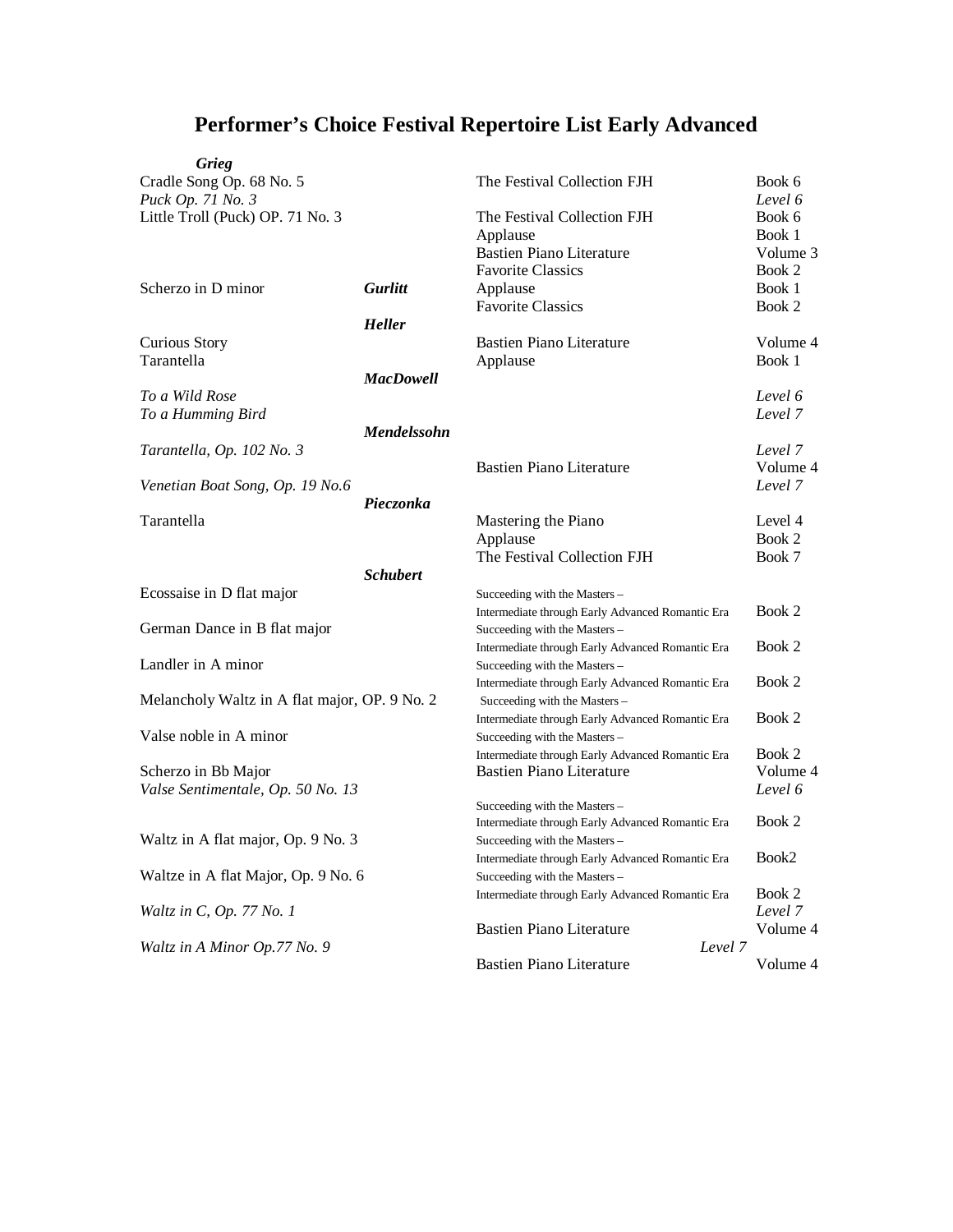| Grieg                                         |                  |                                                  |          |
|-----------------------------------------------|------------------|--------------------------------------------------|----------|
| Cradle Song Op. 68 No. 5                      |                  | The Festival Collection FJH                      | Book 6   |
| Puck Op. 71 No. 3                             |                  |                                                  | Level 6  |
| Little Troll (Puck) OP. 71 No. 3              |                  | The Festival Collection FJH                      | Book 6   |
|                                               |                  | Applause                                         | Book 1   |
|                                               |                  | <b>Bastien Piano Literature</b>                  | Volume 3 |
|                                               |                  | <b>Favorite Classics</b>                         | Book 2   |
| Scherzo in D minor                            | <b>Gurlitt</b>   | Applause                                         | Book 1   |
|                                               |                  | <b>Favorite Classics</b>                         | Book 2   |
|                                               | <b>Heller</b>    |                                                  |          |
| Curious Story                                 |                  | <b>Bastien Piano Literature</b>                  | Volume 4 |
| Tarantella                                    |                  | Applause                                         | Book 1   |
|                                               | <b>MacDowell</b> |                                                  |          |
| To a Wild Rose                                |                  |                                                  | Level 6  |
| To a Humming Bird                             |                  |                                                  | Level 7  |
|                                               | Mendelssohn      |                                                  |          |
| Tarantella, Op. 102 No. 3                     |                  |                                                  | Level 7  |
|                                               |                  | <b>Bastien Piano Literature</b>                  | Volume 4 |
| Venetian Boat Song, Op. 19 No.6               |                  |                                                  | Level 7  |
|                                               | Pieczonka        |                                                  |          |
| Tarantella                                    |                  | Mastering the Piano                              | Level 4  |
|                                               |                  | Applause                                         | Book 2   |
|                                               |                  | The Festival Collection FJH                      | Book 7   |
|                                               | <b>Schubert</b>  |                                                  |          |
| Ecossaise in D flat major                     |                  | Succeeding with the Masters -                    |          |
|                                               |                  | Intermediate through Early Advanced Romantic Era | Book 2   |
| German Dance in B flat major                  |                  | Succeeding with the Masters -                    |          |
|                                               |                  | Intermediate through Early Advanced Romantic Era | Book 2   |
| Landler in A minor                            |                  | Succeeding with the Masters-                     |          |
|                                               |                  | Intermediate through Early Advanced Romantic Era | Book 2   |
| Melancholy Waltz in A flat major, OP. 9 No. 2 |                  | Succeeding with the Masters -                    |          |
|                                               |                  | Intermediate through Early Advanced Romantic Era | Book 2   |
| Valse noble in A minor                        |                  | Succeeding with the Masters -                    |          |
|                                               |                  | Intermediate through Early Advanced Romantic Era | Book 2   |
| Scherzo in Bb Major                           |                  | <b>Bastien Piano Literature</b>                  | Volume 4 |
| Valse Sentimentale, Op. 50 No. 13             |                  |                                                  | Level 6  |
|                                               |                  | Succeeding with the Masters -                    |          |
|                                               |                  | Intermediate through Early Advanced Romantic Era | Book 2   |
| Waltz in A flat major, Op. 9 No. 3            |                  | Succeeding with the Masters -                    |          |
|                                               |                  | Intermediate through Early Advanced Romantic Era | $Book2$  |
| Waltze in A flat Major, Op. 9 No. 6           |                  | Succeeding with the Masters -                    |          |
|                                               |                  | Intermediate through Early Advanced Romantic Era | Book 2   |
| Waltz in C, Op. 77 No. 1                      |                  |                                                  | Level 7  |
|                                               |                  | <b>Bastien Piano Literature</b>                  | Volume 4 |
| Waltz in A Minor Op.77 No. 9                  |                  | Level 7                                          |          |
|                                               |                  | <b>Bastien Piano Literature</b>                  | Volume 4 |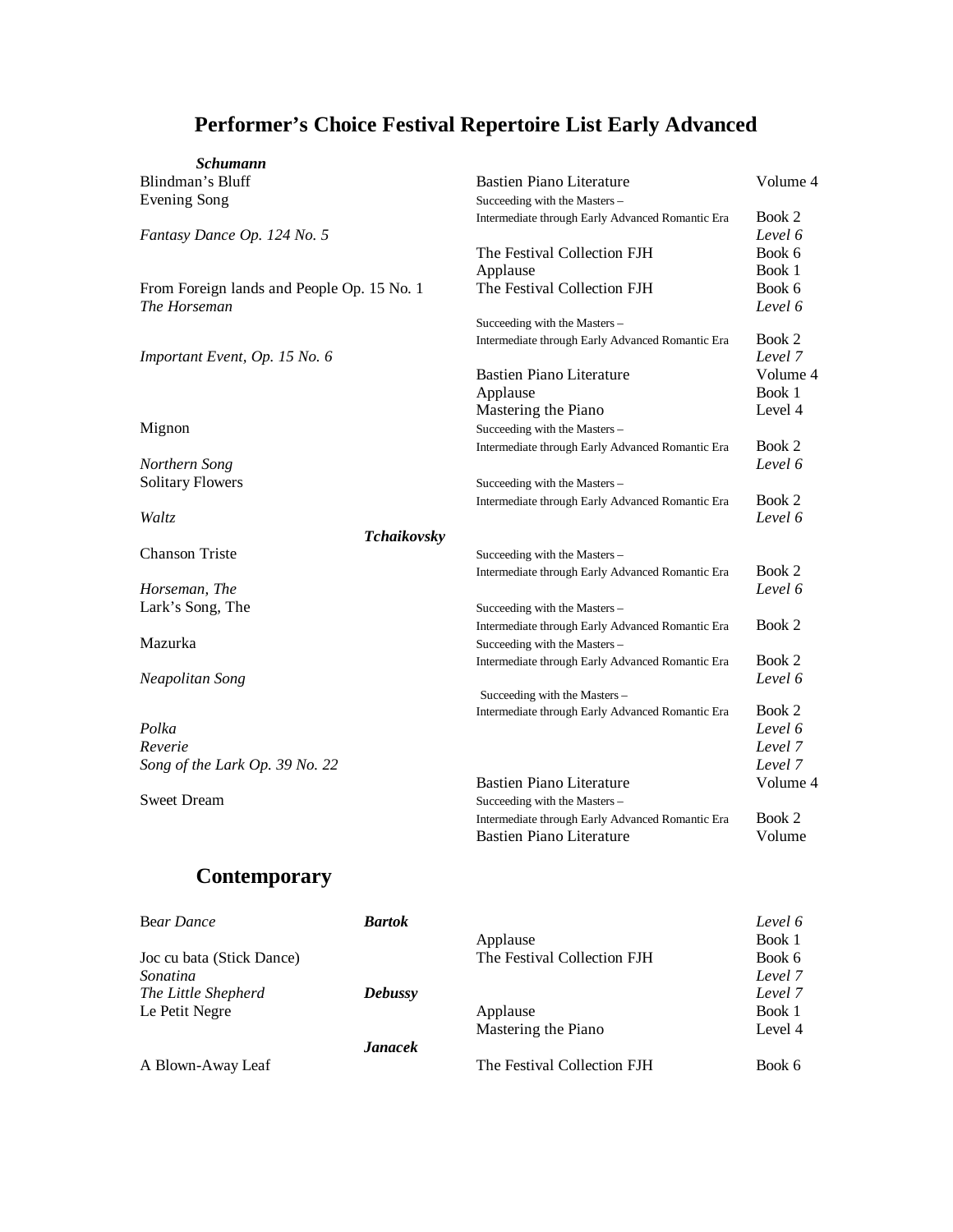| <b>Schumann</b>                            |                                                  |                   |
|--------------------------------------------|--------------------------------------------------|-------------------|
| Blindman's Bluff                           | <b>Bastien Piano Literature</b>                  | Volume 4          |
| Evening Song                               | Succeeding with the Masters-                     |                   |
|                                            | Intermediate through Early Advanced Romantic Era | Book 2            |
| Fantasy Dance Op. 124 No. 5                |                                                  | Level 6           |
|                                            | The Festival Collection FJH                      | Book 6            |
|                                            | Applause                                         | Book 1            |
| From Foreign lands and People Op. 15 No. 1 | The Festival Collection FJH                      | Book 6            |
| The Horseman                               |                                                  | Level 6           |
|                                            | Succeeding with the Masters -                    |                   |
|                                            | Intermediate through Early Advanced Romantic Era | Book 2            |
| Important Event, Op. 15 No. 6              |                                                  | Level 7           |
|                                            | <b>Bastien Piano Literature</b>                  | Volume 4          |
|                                            | Applause                                         | Book 1            |
|                                            | Mastering the Piano                              | Level 4           |
| Mignon                                     | Succeeding with the Masters-                     |                   |
|                                            | Intermediate through Early Advanced Romantic Era | Book 2            |
| Northern Song                              |                                                  | Level 6           |
| <b>Solitary Flowers</b>                    | Succeeding with the Masters -                    |                   |
|                                            | Intermediate through Early Advanced Romantic Era | Book 2            |
| Waltz                                      |                                                  | Level 6           |
| Tchaikovsky                                |                                                  |                   |
| <b>Chanson Triste</b>                      | Succeeding with the Masters -                    |                   |
|                                            | Intermediate through Early Advanced Romantic Era | Book 2            |
| Horseman, The                              |                                                  | Level 6           |
| Lark's Song, The                           | Succeeding with the Masters -                    |                   |
|                                            | Intermediate through Early Advanced Romantic Era | Book 2            |
| Mazurka                                    | Succeeding with the Masters -                    |                   |
|                                            | Intermediate through Early Advanced Romantic Era | Book 2<br>Level 6 |
| Neapolitan Song                            | Succeeding with the Masters -                    |                   |
|                                            | Intermediate through Early Advanced Romantic Era | Book 2            |
| Polka                                      |                                                  | Level 6           |
| Reverie                                    |                                                  | Level 7           |
| Song of the Lark Op. 39 No. 22             |                                                  | Level 7           |
|                                            | <b>Bastien Piano Literature</b>                  | Volume 4          |
| <b>Sweet Dream</b>                         | Succeeding with the Masters-                     |                   |
|                                            | Intermediate through Early Advanced Romantic Era | Book 2            |
|                                            | <b>Bastien Piano Literature</b>                  | Volume            |
|                                            |                                                  |                   |

# **Contemporary**

| Bear Dance                | <b>Bartok</b>  |                             | Level 6 |
|---------------------------|----------------|-----------------------------|---------|
|                           |                |                             | Book 1  |
|                           |                | Applause                    |         |
| Joc cu bata (Stick Dance) |                | The Festival Collection FJH | Book 6  |
| Sonatina                  |                |                             | Level 7 |
| The Little Shepherd       | <b>Debussy</b> |                             | Level 7 |
| Le Petit Negre            |                | Applause                    | Book 1  |
|                           |                | Mastering the Piano         | Level 4 |
|                           | <b>Janacek</b> |                             |         |
| A Blown-Away Leaf         |                | The Festival Collection FJH | Book 6  |